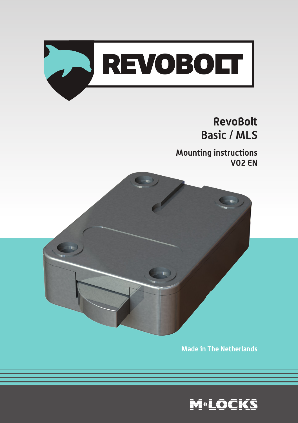

# **RevoBolt Basic / MLS**

**Mounting instructions V02 EN** 



**Made in The Netherlands**

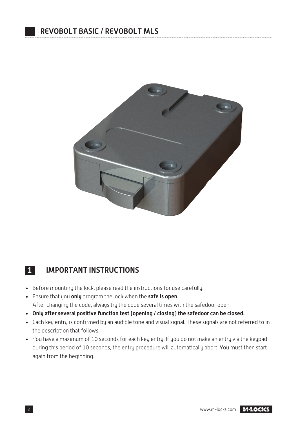

### **11 IMPORTANT INSTRUCTIONS**

- Before mounting the lock, please read the instructions for use carefully.
- Ensure that you **only** program the lock when the **safe is open**. After changing the code, always try the code several times with the safedoor open.
- **Only after several positive function test (opening / closing) the safedoor can be closed.**
- Each key entry is confirmed by an audible tone and visual signal. These signals are not referred to in the description that follows.
- You have a maximum of 10 seconds for each key entry. If you do not make an entry via the keypad during this period of 10 seconds, the entry procedure will automatically abort. You must then start again from the beginning.

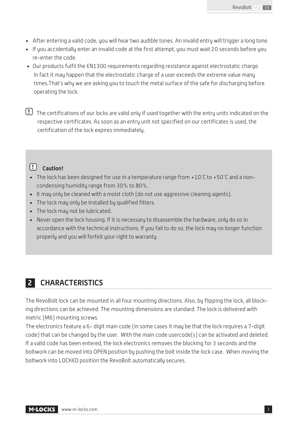- After entering a valid code, you will hear two audible tones. An invalid entry will trigger a long tone.
- If you accidentally enter an invalid code at the first attempt, you must wait 20 seconds before you re-enter the code.
- Our products fulfil the EN1300 requirements regarding resistance against electrostatic charge. In fact it may happen that the electrostatic charge of a user exceeds the extreme value many times.That's why we are asking you to touch the metal surface of the safe for discharging before operating the lock.

**!** The certifications of our locks are valid only if used together with the entry units indicated on the respective certificates. As soon as an entry unit not specified on our certificates is used, the certification of the lock expires immediately.

### **! Caution!**

- The lock has been designed for use in a temperature range from +10˚C to +50˚C and a noncondensing humidity range from 30% to 80%.
- It may only be cleaned with a moist cloth (do not use aggressive cleaning agents).
- The lock may only be installed by qualified fitters.
- The lock may not be lubricated.
- Never open the lock housing. If it is necessary to disassemble the hardware, only do so in accordance with the technical instructions. If you fail to do so, the lock may no longer function properly and you will forfeit your right to warranty.

### **2 CHARACTERISTICS**

The RevoBolt lock can be mounted in all four mounting directions. Also, by flipping the lock, all blocking directions can be achieved. The mounting dimensions are standard. The lock is delivered with metric (M6) mounting screws.

The electronics feature a 6- digit main code (in some cases it may be that the lock requires a 7-digit code) that can be changed by the user. With the main code usercode(s) can be activated and deleted. If a valid code has been entered, the lock electronics removes the blocking for 3 seconds and the boltwork can be moved into OPEN position by pushing the bolt inside the lock case. When moving the boltwork into LOCKED position the RevoBolt automatically secures.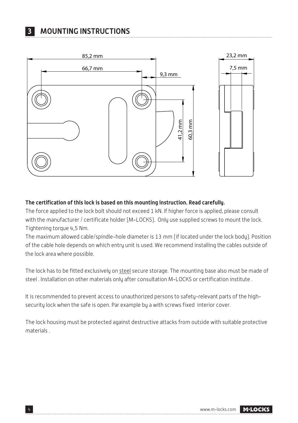

#### **The certification of this lock is based on this mounting instruction. Read carefully.**

The force applied to the lock bolt should not exceed 1 kN. If higher force is applied, please consult with the manufacturer / certificate holder (M-LOCKS). Only use supplied screws to mount the lock. Tightening torque 4,5 Nm.

The maximum allowed cable/spindle-hole diameter is 13 mm (if located under the lock body). Position of the cable hole depends on which entry unit is used. We recommend installing the cables outside of the lock area where possible.

The lock has to be fitted exclusively on steel secure storage. The mounting base also must be made of steel . Installation on other materials only after consultation M-LOCKS or certification institute .

It is recommended to prevent access to unauthorized persons to safety-relevant parts of the highsecurity lock when the safe is open. Par example by a with screws fixed interior cover.

The lock housing must be protected against destructive attacks from outside with suitable protective materials .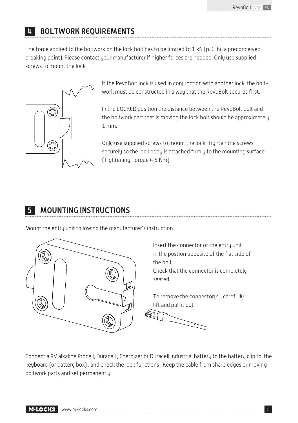## **4 BOLTWORK REQUIREMENTS**

The force applied to the boltwork on the lock bolt has to be limited to 1 kN (p. E. by a preconceived breaking point). Please contact your manufacturer if higher forces are needed. Only use supplied screws to mount the lock.



If the RevoBolt lock is used in conjunction with another lock, the boltwork must be constructed in a way that the RevoBolt secures first.

In the LOCKED position the distance between the RevoBolt bolt and the boltwork part that is moving the lock bolt should be approximately 1 mm.

Only use supplied screws to mount the lock. Tighten the screws securely so the lock body is attached firmly to the mounting surface. (Tightening Torque 4,5 Nm)

# **5 MOUNTING INSTRUCTIONS**

Mount the entry unit following the manufacturer's instruction.



Connect a 9V alkaline Procell, Duracell , Energizer or Duracell Industrial battery to the battery clip to the keyboard (or battery box) , and check the lock functions . Keep the cable from sharp edges or moving boltwork parts and set permanently .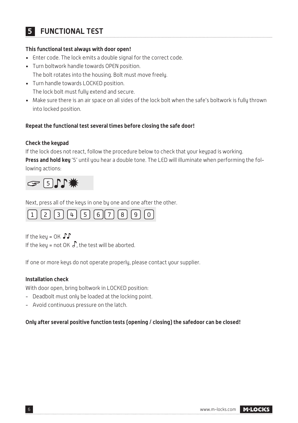## **5 FUNCTIONAL TEST**

#### **This functional test always with door open!**

- Enter code. The lock emits a double signal for the correct code.
- Turn boltwork handle towards OPEN position.

The bolt rotates into the housing. Bolt must move freely.

- Turn handle towards LOCKED position. The lock bolt must fully extend and secure.
- Make sure there is an air space on all sides of the lock bolt when the safe's boltwork is fully thrown into locked position.

### **Repeat the functional test several times before closing the safe door!**

### **Check the keypad**

If the lock does not react, follow the procedure below to check that your keypad is working. **Press and hold key** '5' until you hear a double tone. The LED will illuminate when performing the following actions:



Next, press all of the keys in one by one and one after the other.



If the key =  $OK \cdot \cdot \cdot$ If the key = not OK  $\int$ , the test will be aborted.

If one or more keys do not operate properly, please contact your supplier.

### **Installation check**

With door open, bring boltwork in LOCKED position:

- Deadbolt must only be loaded at the locking point.
- Avoid continuous pressure on the latch.

### **Only after several positive function tests (opening / closing) the safedoor can be closed!**

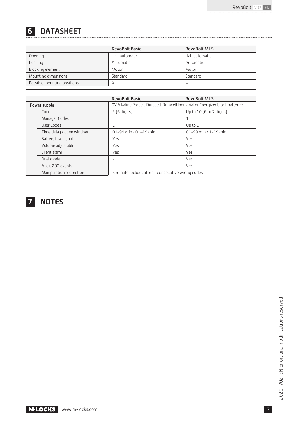## **6 DATASHEET**

|                             | <b>RevoBolt Basic</b> | <b>RevoBolt MLS</b> |
|-----------------------------|-----------------------|---------------------|
| Opening                     | Half automatic        | Half automatic      |
| Lockina                     | Automatic             | Automatic           |
| Blocking element            | Motor                 | Motor               |
| Mounting dimensions         | Standard              | Standard            |
| Possible mounting positions |                       | 4                   |

|              |                          | <b>RevoBolt Basic</b>                                                           | <b>RevoBolt MLS</b>      |  |
|--------------|--------------------------|---------------------------------------------------------------------------------|--------------------------|--|
| Power supply |                          | 9V Alkaline Procell, Duracell, Duracell Industrial or Energizer block batteries |                          |  |
|              | Codes                    | 2 [6 digits]                                                                    | Up to 10 [6 or 7 digits] |  |
|              | Manager Codes            | 1                                                                               |                          |  |
|              | User Codes               | 1                                                                               | Up to 9                  |  |
|              | Time delay / open window | 01-99 min / 01-19 min                                                           | 01-99 min / 1-19 min     |  |
|              | Battery low signal       | Yes                                                                             | Yes                      |  |
|              | Volume adjustable        | Yes                                                                             | Yes                      |  |
|              | Silent alarm             | Yes                                                                             | Yes                      |  |
|              | Dual mode                | -                                                                               | Yes                      |  |
|              | Audit 200 events         | -                                                                               | Yes                      |  |
|              | Manipulation protection  | 5 minute lockout after 4 consecutive wrong codes                                |                          |  |



 $\sqrt{2}$